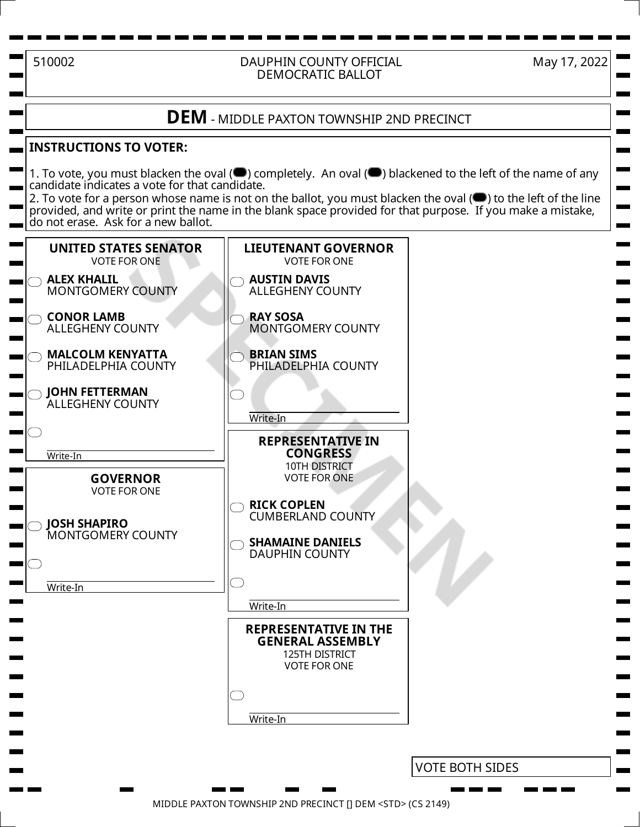## 510002 DAUPHIN COUNTY OFFICIAL DEMOCRATIC BALLOT

May 17, 2022

## **DEM** - MIDDLE PAXTON TOWNSHIP 2ND PRECINCT

## **INSTRUCTIONS TO VOTER:**

1. To vote, you must blacken the oval  $(\blacksquare)$  completely. An oval  $(\blacksquare)$  blackened to the left of the name of any candidate indicates a vote for that candidate.

2. To vote for a person whose name is not on the ballot, you must blacken the oval  $($ **)** to the left of the line provided, and write or print the name in the blank space provided for that purpose. If you make a mistake, do not erase. Ask for a new ballot.



VOTE BOTH SIDES